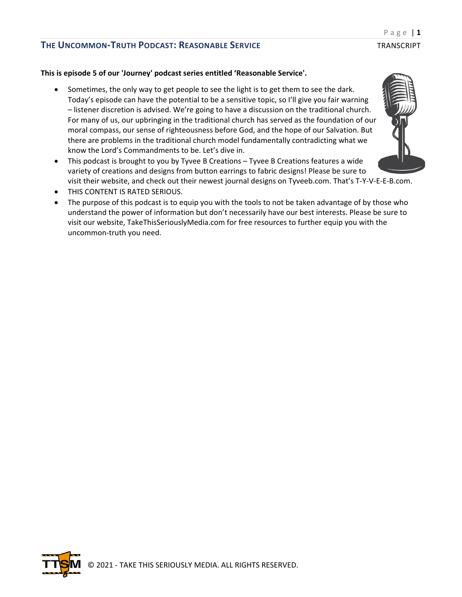#### **This is episode 5 of our 'Journey' podcast series entitled 'Reasonable Service'.**

- Sometimes, the only way to get people to see the light is to get them to see the dark. Today's episode can have the potential to be a sensitive topic, so I'll give you fair warning – listener discretion is advised. We're going to have a discussion on the traditional church. For many of us, our upbringing in the traditional church has served as the foundation of our moral compass, our sense of righteousness before God, and the hope of our Salvation. But there are problems in the traditional church model fundamentally contradicting what we know the Lord's Commandments to be. Let's dive in.
- This podcast is brought to you by Tyvee B Creations Tyvee B Creations features a wide variety of creations and designs from button earrings to fabric designs! Please be sure to visit their website, and check out their newest journal designs on Tyveeb.com. That's T-Y-V-E-E-B.com.
- THIS CONTENT IS RATED SERIOUS.
- The purpose of this podcast is to equip you with the tools to not be taken advantage of by those who understand the power of information but don't necessarily have our best interests. Please be sure to visit our website, TakeThisSeriouslyMedia.com for free resources to further equip you with the uncommon-truth you need.



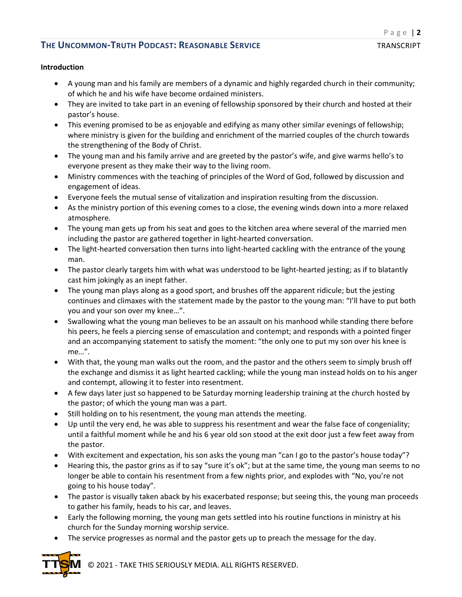#### **Introduction**

- A young man and his family are members of a dynamic and highly regarded church in their community; of which he and his wife have become ordained ministers.
- They are invited to take part in an evening of fellowship sponsored by their church and hosted at their pastor's house.
- This evening promised to be as enjoyable and edifying as many other similar evenings of fellowship; where ministry is given for the building and enrichment of the married couples of the church towards the strengthening of the Body of Christ.
- The young man and his family arrive and are greeted by the pastor's wife, and give warms hello's to everyone present as they make their way to the living room.
- Ministry commences with the teaching of principles of the Word of God, followed by discussion and engagement of ideas.
- Everyone feels the mutual sense of vitalization and inspiration resulting from the discussion.
- As the ministry portion of this evening comes to a close, the evening winds down into a more relaxed atmosphere.
- The young man gets up from his seat and goes to the kitchen area where several of the married men including the pastor are gathered together in light-hearted conversation.
- The light-hearted conversation then turns into light-hearted cackling with the entrance of the young man.
- The pastor clearly targets him with what was understood to be light-hearted jesting; as if to blatantly cast him jokingly as an inept father.
- The young man plays along as a good sport, and brushes off the apparent ridicule; but the jesting continues and climaxes with the statement made by the pastor to the young man: "I'll have to put both you and your son over my knee…".
- Swallowing what the young man believes to be an assault on his manhood while standing there before his peers, he feels a piercing sense of emasculation and contempt; and responds with a pointed finger and an accompanying statement to satisfy the moment: "the only one to put my son over his knee is me…".
- With that, the young man walks out the room, and the pastor and the others seem to simply brush off the exchange and dismiss it as light hearted cackling; while the young man instead holds on to his anger and contempt, allowing it to fester into resentment.
- A few days later just so happened to be Saturday morning leadership training at the church hosted by the pastor; of which the young man was a part.
- Still holding on to his resentment, the young man attends the meeting.
- Up until the very end, he was able to suppress his resentment and wear the false face of congeniality; until a faithful moment while he and his 6 year old son stood at the exit door just a few feet away from the pastor.
- With excitement and expectation, his son asks the young man "can I go to the pastor's house today"?
- Hearing this, the pastor grins as if to say "sure it's ok"; but at the same time, the young man seems to no longer be able to contain his resentment from a few nights prior, and explodes with "No, you're not going to his house today".
- The pastor is visually taken aback by his exacerbated response; but seeing this, the young man proceeds to gather his family, heads to his car, and leaves.
- Early the following morning, the young man gets settled into his routine functions in ministry at his church for the Sunday morning worship service.
- The service progresses as normal and the pastor gets up to preach the message for the day.



© 2021 - TAKE THIS SERIOUSLY MEDIA. ALL RIGHTS RESERVED.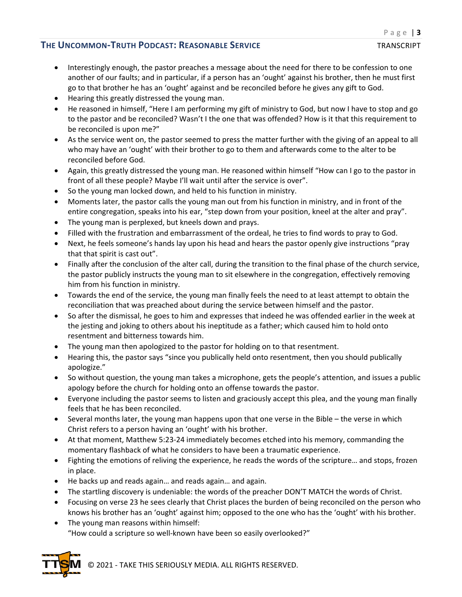- Interestingly enough, the pastor preaches a message about the need for there to be confession to one another of our faults; and in particular, if a person has an 'ought' against his brother, then he must first go to that brother he has an 'ought' against and be reconciled before he gives any gift to God.
- Hearing this greatly distressed the young man.
- He reasoned in himself, "Here I am performing my gift of ministry to God, but now I have to stop and go to the pastor and be reconciled? Wasn't I the one that was offended? How is it that this requirement to be reconciled is upon me?"
- As the service went on, the pastor seemed to press the matter further with the giving of an appeal to all who may have an 'ought' with their brother to go to them and afterwards come to the alter to be reconciled before God.
- Again, this greatly distressed the young man. He reasoned within himself "How can I go to the pastor in front of all these people? Maybe I'll wait until after the service is over".
- So the young man locked down, and held to his function in ministry.
- Moments later, the pastor calls the young man out from his function in ministry, and in front of the entire congregation, speaks into his ear, "step down from your position, kneel at the alter and pray".
- The young man is perplexed, but kneels down and prays.
- Filled with the frustration and embarrassment of the ordeal, he tries to find words to pray to God.
- Next, he feels someone's hands lay upon his head and hears the pastor openly give instructions "pray that that spirit is cast out".
- Finally after the conclusion of the alter call, during the transition to the final phase of the church service, the pastor publicly instructs the young man to sit elsewhere in the congregation, effectively removing him from his function in ministry.
- Towards the end of the service, the young man finally feels the need to at least attempt to obtain the reconciliation that was preached about during the service between himself and the pastor.
- So after the dismissal, he goes to him and expresses that indeed he was offended earlier in the week at the jesting and joking to others about his ineptitude as a father; which caused him to hold onto resentment and bitterness towards him.
- The young man then apologized to the pastor for holding on to that resentment.
- Hearing this, the pastor says "since you publically held onto resentment, then you should publically apologize."
- So without question, the young man takes a microphone, gets the people's attention, and issues a public apology before the church for holding onto an offense towards the pastor.
- Everyone including the pastor seems to listen and graciously accept this plea, and the young man finally feels that he has been reconciled.
- Several months later, the young man happens upon that one verse in the Bible the verse in which Christ refers to a person having an 'ought' with his brother.
- At that moment, Matthew 5:23-24 immediately becomes etched into his memory, commanding the momentary flashback of what he considers to have been a traumatic experience.
- Fighting the emotions of reliving the experience, he reads the words of the scripture… and stops, frozen in place.
- He backs up and reads again… and reads again… and again.
- The startling discovery is undeniable: the words of the preacher DON'T MATCH the words of Christ.
- Focusing on verse 23 he sees clearly that Christ places the burden of being reconciled on the person who knows his brother has an 'ought' against him; opposed to the one who has the 'ought' with his brother.
- The young man reasons within himself: "How could a scripture so well-known have been so easily overlooked?"



© 2021 - TAKE THIS SERIOUSLY MEDIA. ALL RIGHTS RESERVED.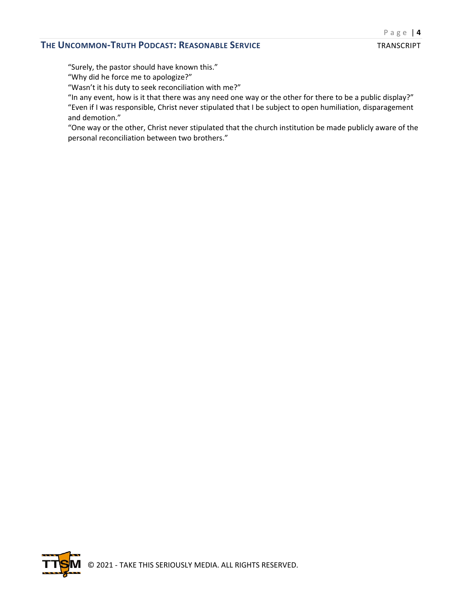"Surely, the pastor should have known this."

"Why did he force me to apologize?"

"Wasn't it his duty to seek reconciliation with me?"

"In any event, how is it that there was any need one way or the other for there to be a public display?" "Even if I was responsible, Christ never stipulated that I be subject to open humiliation, disparagement and demotion."

"One way or the other, Christ never stipulated that the church institution be made publicly aware of the personal reconciliation between two brothers."

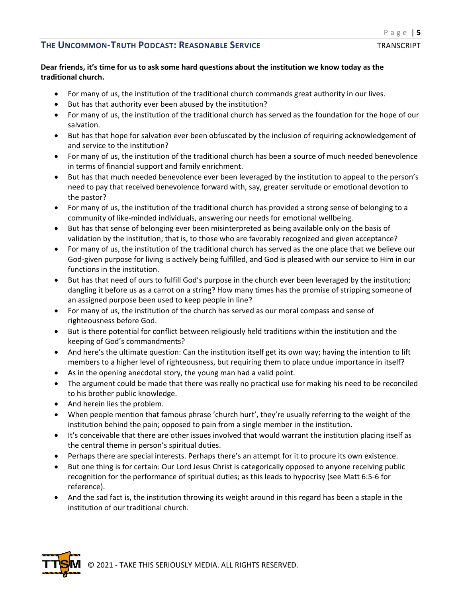### **Dear friends, it's time for us to ask some hard questions about the institution we know today as the traditional church.**

- For many of us, the institution of the traditional church commands great authority in our lives.
- But has that authority ever been abused by the institution?
- For many of us, the institution of the traditional church has served as the foundation for the hope of our salvation.
- But has that hope for salvation ever been obfuscated by the inclusion of requiring acknowledgement of and service to the institution?
- For many of us, the institution of the traditional church has been a source of much needed benevolence in terms of financial support and family enrichment.
- But has that much needed benevolence ever been leveraged by the institution to appeal to the person's need to pay that received benevolence forward with, say, greater servitude or emotional devotion to the pastor?
- For many of us, the institution of the traditional church has provided a strong sense of belonging to a community of like-minded individuals, answering our needs for emotional wellbeing.
- But has that sense of belonging ever been misinterpreted as being available only on the basis of validation by the institution; that is, to those who are favorably recognized and given acceptance?
- For many of us, the institution of the traditional church has served as the one place that we believe our God-given purpose for living is actively being fulfilled, and God is pleased with our service to Him in our functions in the institution.
- But has that need of ours to fulfill God's purpose in the church ever been leveraged by the institution; dangling it before us as a carrot on a string? How many times has the promise of stripping someone of an assigned purpose been used to keep people in line?
- For many of us, the institution of the church has served as our moral compass and sense of righteousness before God.
- But is there potential for conflict between religiously held traditions within the institution and the keeping of God's commandments?
- And here's the ultimate question: Can the institution itself get its own way; having the intention to lift members to a higher level of righteousness, but requiring them to place undue importance in itself?
- As in the opening anecdotal story, the young man had a valid point.
- The argument could be made that there was really no practical use for making his need to be reconciled to his brother public knowledge.
- And herein lies the problem.
- When people mention that famous phrase 'church hurt', they're usually referring to the weight of the institution behind the pain; opposed to pain from a single member in the institution.
- It's conceivable that there are other issues involved that would warrant the institution placing itself as the central theme in person's spiritual duties.
- Perhaps there are special interests. Perhaps there's an attempt for it to procure its own existence.
- But one thing is for certain: Our Lord Jesus Christ is categorically opposed to anyone receiving public recognition for the performance of spiritual duties; as this leads to hypocrisy (see Matt 6:5-6 for reference).
- And the sad fact is, the institution throwing its weight around in this regard has been a staple in the institution of our traditional church.

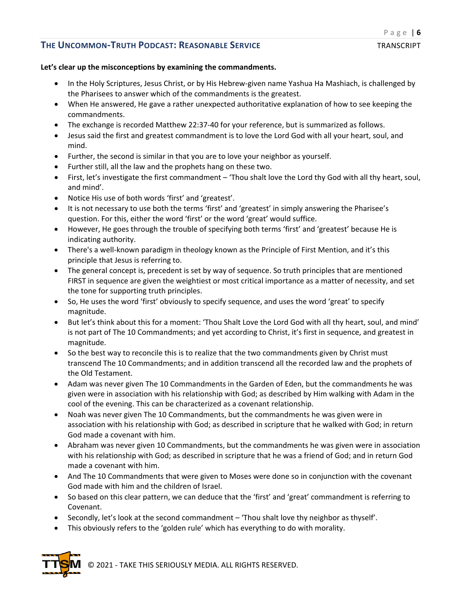#### **Let's clear up the misconceptions by examining the commandments.**

- In the Holy Scriptures, Jesus Christ, or by His Hebrew-given name Yashua Ha Mashiach, is challenged by the Pharisees to answer which of the commandments is the greatest.
- When He answered, He gave a rather unexpected authoritative explanation of how to see keeping the commandments.
- The exchange is recorded Matthew 22:37-40 for your reference, but is summarized as follows.
- Jesus said the first and greatest commandment is to love the Lord God with all your heart, soul, and mind.
- Further, the second is similar in that you are to love your neighbor as yourself.
- Further still, all the law and the prophets hang on these two.
- First, let's investigate the first commandment 'Thou shalt love the Lord thy God with all thy heart, soul, and mind'.
- Notice His use of both words 'first' and 'greatest'.
- It is not necessary to use both the terms 'first' and 'greatest' in simply answering the Pharisee's question. For this, either the word 'first' or the word 'great' would suffice.
- However, He goes through the trouble of specifying both terms 'first' and 'greatest' because He is indicating authority.
- There's a well-known paradigm in theology known as the Principle of First Mention, and it's this principle that Jesus is referring to.
- The general concept is, precedent is set by way of sequence. So truth principles that are mentioned FIRST in sequence are given the weightiest or most critical importance as a matter of necessity, and set the tone for supporting truth principles.
- So, He uses the word 'first' obviously to specify sequence, and uses the word 'great' to specify magnitude.
- But let's think about this for a moment: 'Thou Shalt Love the Lord God with all thy heart, soul, and mind' is not part of The 10 Commandments; and yet according to Christ, it's first in sequence, and greatest in magnitude.
- So the best way to reconcile this is to realize that the two commandments given by Christ must transcend The 10 Commandments; and in addition transcend all the recorded law and the prophets of the Old Testament.
- Adam was never given The 10 Commandments in the Garden of Eden, but the commandments he was given were in association with his relationship with God; as described by Him walking with Adam in the cool of the evening. This can be characterized as a covenant relationship.
- Noah was never given The 10 Commandments, but the commandments he was given were in association with his relationship with God; as described in scripture that he walked with God; in return God made a covenant with him.
- Abraham was never given 10 Commandments, but the commandments he was given were in association with his relationship with God; as described in scripture that he was a friend of God; and in return God made a covenant with him.
- And The 10 Commandments that were given to Moses were done so in conjunction with the covenant God made with him and the children of Israel.
- So based on this clear pattern, we can deduce that the 'first' and 'great' commandment is referring to Covenant.
- Secondly, let's look at the second commandment 'Thou shalt love thy neighbor as thyself'.
- This obviously refers to the 'golden rule' which has everything to do with morality.